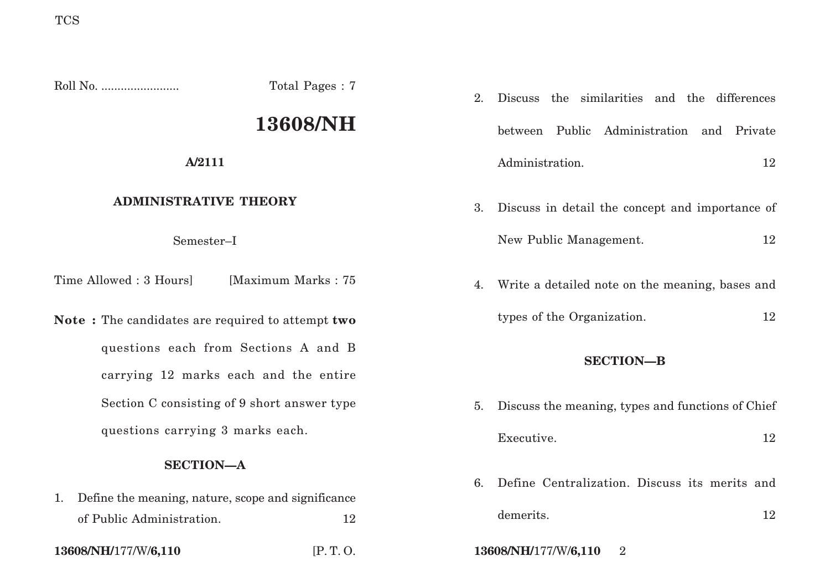Roll No. ........................ Total Pages : 7

# **13608/NH**

**A/2111**

# **ADMINISTRATIVE THEORY**

Semester–I

Time Allowed : 3 Hours [Maximum Marks : 75]

**Note :** The candidates are required to attempt **two** questions each from Sections A and B carrying 12 marks each and the entire Section C consisting of 9 short answer type questions carrying 3 marks each.

## **SECTION—A**

| 1. Define the meaning, nature, scope and significance |    |
|-------------------------------------------------------|----|
| of Public Administration.                             | 12 |

- 2. Discuss the similarities and the differences between Public Administration and Private Administration. 12
- 3. Discuss in detail the concept and importance of New Public Management. 12
- 4. Write a detailed note on the meaning, bases and
	- types of the Organization. 12

## **SECTION—B**

- 5. Discuss the meaning, types and functions of Chief Executive. 12
- 6. Define Centralization. Discuss its merits and
	- demerits. 12
- **13608/NH/**177/W/**6,110** [P. T. O. **13608/NH/**177/W/**6,110** 2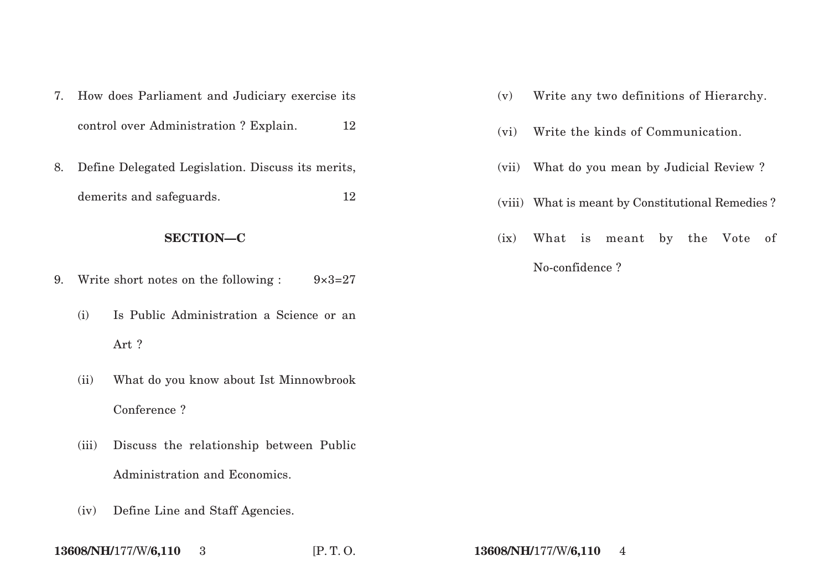|                  | 7. How does Parliament and Judiciary exercise its |                                                           |    |  |  |
|------------------|---------------------------------------------------|-----------------------------------------------------------|----|--|--|
|                  |                                                   | control over Administration? Explain.                     | 12 |  |  |
| 8.               |                                                   | Define Delegated Legislation. Discuss its merits,         |    |  |  |
|                  |                                                   | demerits and safeguards.                                  | 12 |  |  |
| <b>SECTION-C</b> |                                                   |                                                           |    |  |  |
| 9.               |                                                   | Write short notes on the following :<br>$9 \times 3 = 27$ |    |  |  |
|                  | (i)                                               | Is Public Administration a Science or an                  |    |  |  |
|                  |                                                   | Art?                                                      |    |  |  |
|                  | (ii)                                              | What do you know about Ist Minnowbrook                    |    |  |  |

Conference ?

- (iii) Discuss the relationship between Public Administration and Economics.
- (iv) Define Line and Staff Agencies.
- (v) Write any two definitions of Hierarchy.
- (vi) Write the kinds of Communication.
- (vii) What do you mean by Judicial Review ?
- (viii) What is meant by Constitutional Remedies ?
- (ix) What is meant by the Vote of No-confidence ?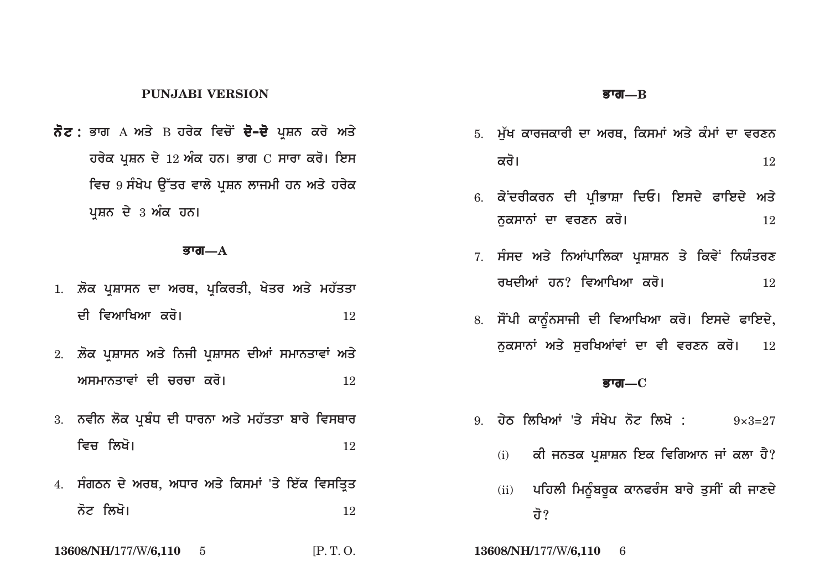## **PUNJABI VERSION**

**ਨੋਟ :** ਭਾਗ А ਅਤੇ В ਹਰੇਕ ਵਿਚੋਂ **ਦੋ–ਦੋ** ਪਸ਼ਨ ਕਰੋ ਅਤੇ **ਹਰੇਕ ਪਸ਼ਨ ਦੇ 12 ਅੰਕ ਹਨ। ਭਾਗ**  $C$  **ਸਾਰਾ ਕਰੋ। ਇਸ** <u>ਵਿਚ 9 ਸੰਖੇਪ ਉੱਤਰ ਵਾਲੇ ਪੁਸ਼ਨ ਲਾਜਮੀ ਹਨ ਅਤੇ ਹਰੇਕ</u> ਪਸ਼ਨ ਦੇ 3 ਅੰਕ **ਹਨ।** 

#### <u> $\overline{\mathbf{g}}$ ग्त—A</u>

- 1. **ਲੋਕ ਪਸ਼ਾਸਨ ਦਾ ਅਰਥ, ਪਕਿਰਤੀ, ਖੇਤਰ ਅਤੇ ਮਹੱ**ਤਤਾ ਦੀ ਵਿਆਖਿਆ ਕਰੋ। <u>12</u> ਵਿਅ
- 2. ਲੋਕ ਪਸ਼ਾਸਨ ਅਤੇ ਨਿਜੀ ਪਸ਼ਾਸਨ ਦੀਆਂ ਸਮਾਨਤਾਵਾਂ ਅਤੇ **AsmwnqwvW dI crcw kro[** <sup>12</sup>
- 3. ਨਵੀਨ ਲੋਕ ਪਬੰਧ ਦੀ ਧਾਰਨਾ ਅਤੇ ਮਹੱਤਤਾ ਬਾਰੇ ਵਿਸਥਾ**ਰ ivc ilKo[** <sup>12</sup>
- 4. ਸੰਗਠਨ ਦੇ ਅਰਥ, ਅਧਾਰ ਅਤੇ ਕਿਸਮਾਂ 'ਤੇ ਇੱਕ ਵਿਸਤਿਤ ਨੋਟ ਲਿਖੋ। <u>12</u>

**13608/NH/**177/W/**6,110** 5 [P. T. O. **13608/NH/**177/W/**6,110** 6

### **Bwg—B**

- 5. **ਮੱਖ ਕਾਰਜਕਾਰੀ ਦਾ ਅਰਥ, ਕਿਸਮਾਂ ਅਤੇ ਕੰਮਾਂ** ਦਾ ਵਰਣਨ  $\overline{\mathsf{a}}\overline{\mathsf{d}}$ ।  $\overline{\mathsf{a}}$
- 6. ਕੇਂਦਰੀਕਰਨ ਦੀ ਪੀਭਾਸ਼ਾ ਦਿਓ। ਇਸਦੇ ਫਾਇਦੇ **ਅਤੇ nukswnW dw vrxn kro[** <sup>12</sup>
- 7. ਸੰਸਦ ਅਤੇ ਨਿਆਂਪਾਲਿਕਾ ਪਸ਼ਾਸ਼ਨ ਤੇ ਕਿਵੇਂ ਨਿਯੰਤਰਣ **rKdIAW hn? ivAwiKAw kro[** <sup>12</sup>
- 8. ਸੌਂਪੀ ਕਾਨੂੰਨਸਾਜੀ ਦੀ ਵਿਆਖਿਆ ਕਰੋ। ਇਸਦੇ ਫਾਇਦੇ, **ਨੁਕਸਾਨਾਂ ਅਤੇ ਸੁਰਖਿਆਂਵਾਂ ਦਾ ਵੀ ਵਰਣਨ ਕਰੋ।** 12

#### **Bwg—C**

- 9. **hyT iliKAW 'qy sMKyp not ilKo :** 9×3=27
	- (i) ਕੀ ਜਨਤਕ ਪਸ਼ਾਸ਼ਨ ਇਕ ਵਿਗਿਆਨ ਜਾਂ ਕਲਾ ਹੈ?
	- (ii) ਪਹਿਲੀ ਮਿਨੂੰਬਰੁਕ ਕਾਨਫਰੰਸ ਬਾਰੇ ਤੁਸੀਂ ਕੀ ਜਾਣਦੇ <u>ਰੋ?</u>